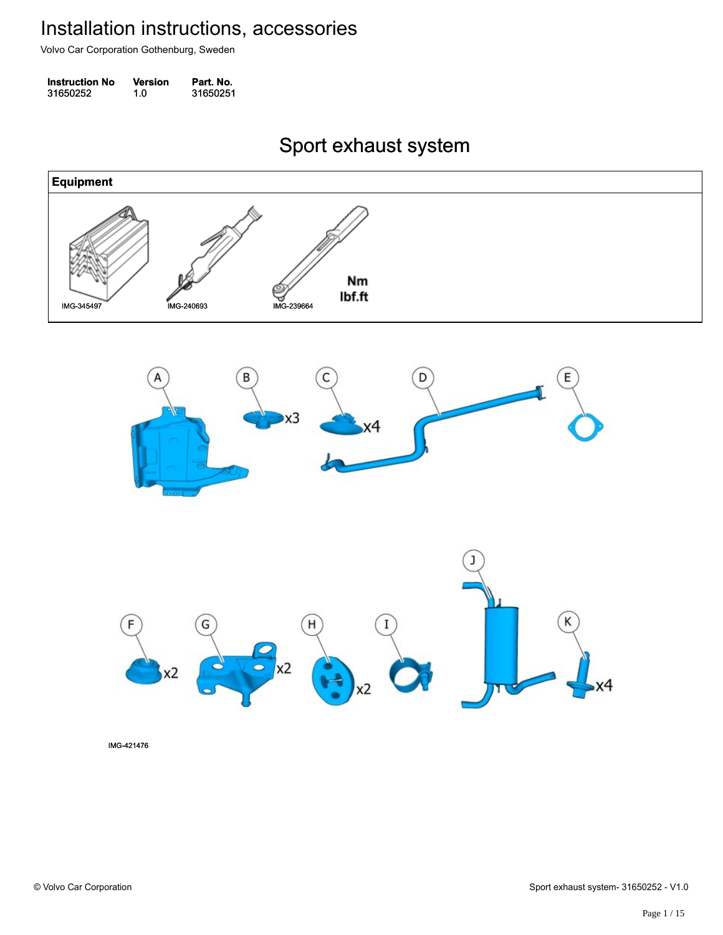Volvo Car Corporation Gothenburg, Sweden

| <b>Instruction No</b> | Version | Part. No. |
|-----------------------|---------|-----------|
| 31650252              | 1.0     | 31650251  |

Sport exhaust system Sport exhaust system

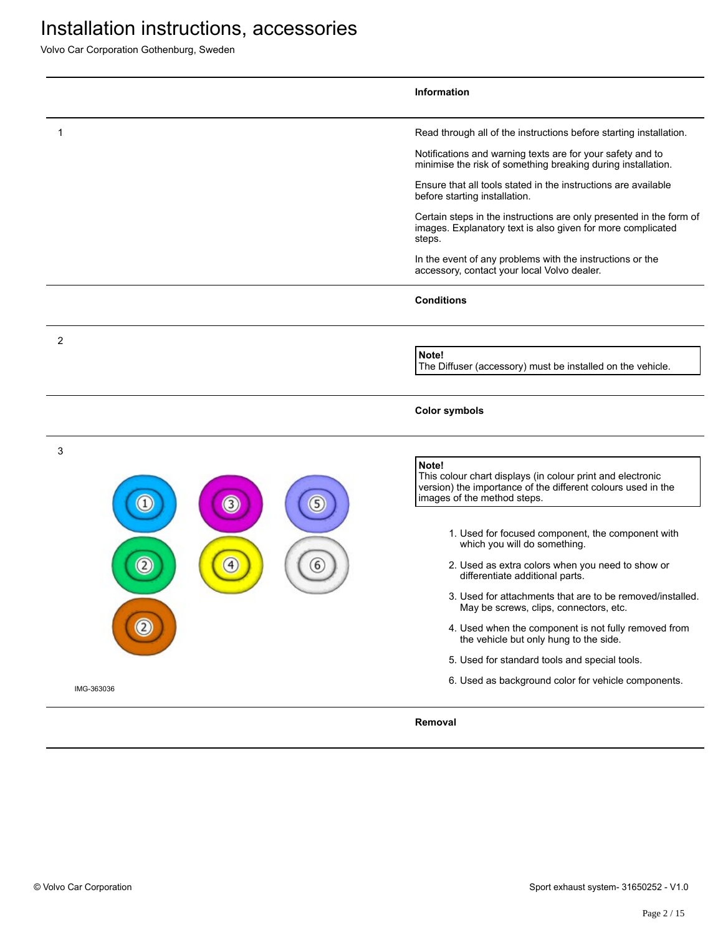Volvo Car Corporation Gothenburg, Sweden

|                                          | <b>Information</b>                                                                                                                                        |
|------------------------------------------|-----------------------------------------------------------------------------------------------------------------------------------------------------------|
| 1                                        | Read through all of the instructions before starting installation.                                                                                        |
|                                          | Notifications and warning texts are for your safety and to<br>minimise the risk of something breaking during installation.                                |
|                                          | Ensure that all tools stated in the instructions are available<br>before starting installation.                                                           |
|                                          | Certain steps in the instructions are only presented in the form of<br>images. Explanatory text is also given for more complicated<br>steps.              |
|                                          | In the event of any problems with the instructions or the<br>accessory, contact your local Volvo dealer.                                                  |
|                                          | <b>Conditions</b>                                                                                                                                         |
| 2                                        | Note!                                                                                                                                                     |
|                                          | The Diffuser (accessory) must be installed on the vehicle.                                                                                                |
|                                          | <b>Color symbols</b>                                                                                                                                      |
| 3                                        | Note!                                                                                                                                                     |
| 5<br>$\left(3\right)$                    | This colour chart displays (in colour print and electronic<br>version) the importance of the different colours used in the<br>images of the method steps. |
|                                          | 1. Used for focused component, the component with<br>which you will do something.                                                                         |
| $\left( 2\right)$<br>$\overline{4}$<br>6 | 2. Used as extra colors when you need to show or<br>differentiate additional parts.                                                                       |
|                                          | 3. Used for attachments that are to be removed/installed.<br>May be screws, clips, connectors, etc.                                                       |
|                                          | 4. Used when the component is not fully removed from<br>the vehicle but only hung to the side.                                                            |
|                                          | 5. Used for standard tools and special tools.                                                                                                             |
| IMG-363036                               | 6. Used as background color for vehicle components.                                                                                                       |
|                                          | Removal                                                                                                                                                   |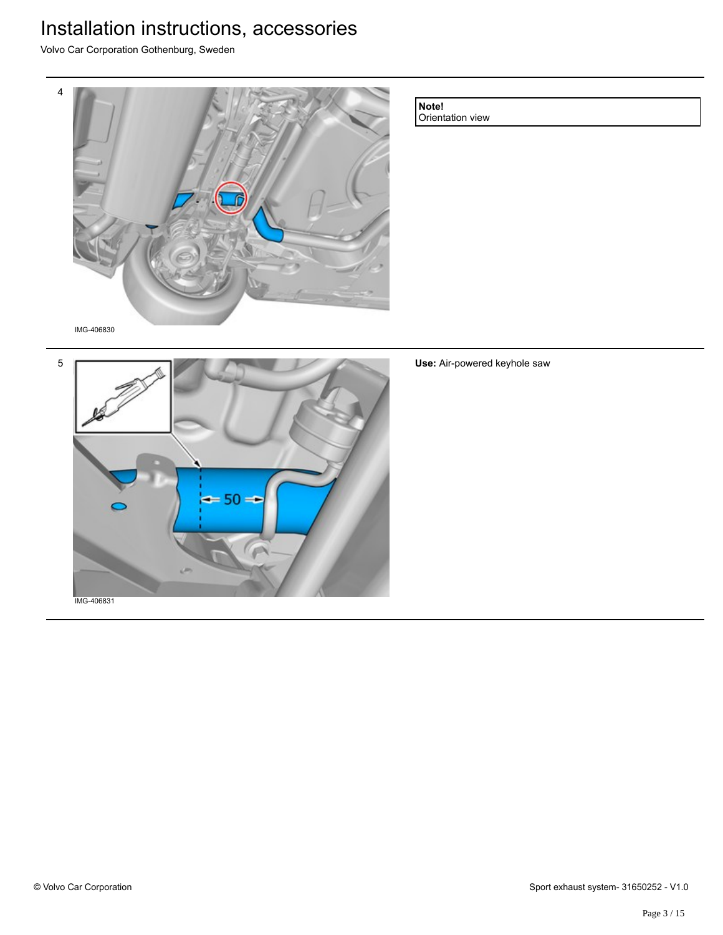Volvo Car Corporation Gothenburg, Sweden



**Note!**

Orientation view

IMG-406830



**Use:** Air-powered keyhole saw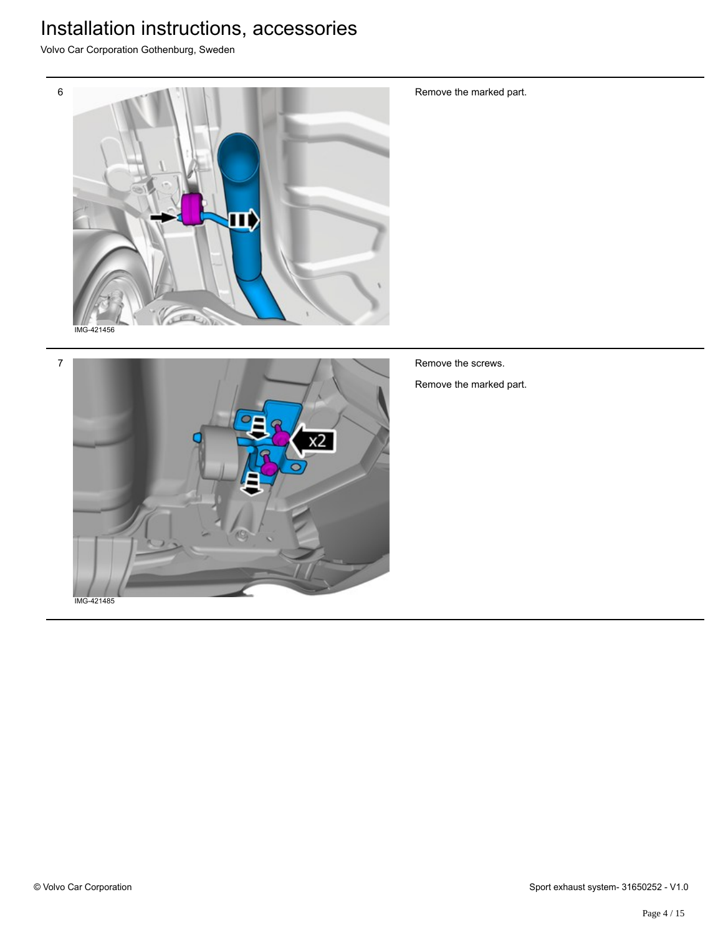Volvo Car Corporation Gothenburg, Sweden





Remove the marked part.

Remove the marked part.

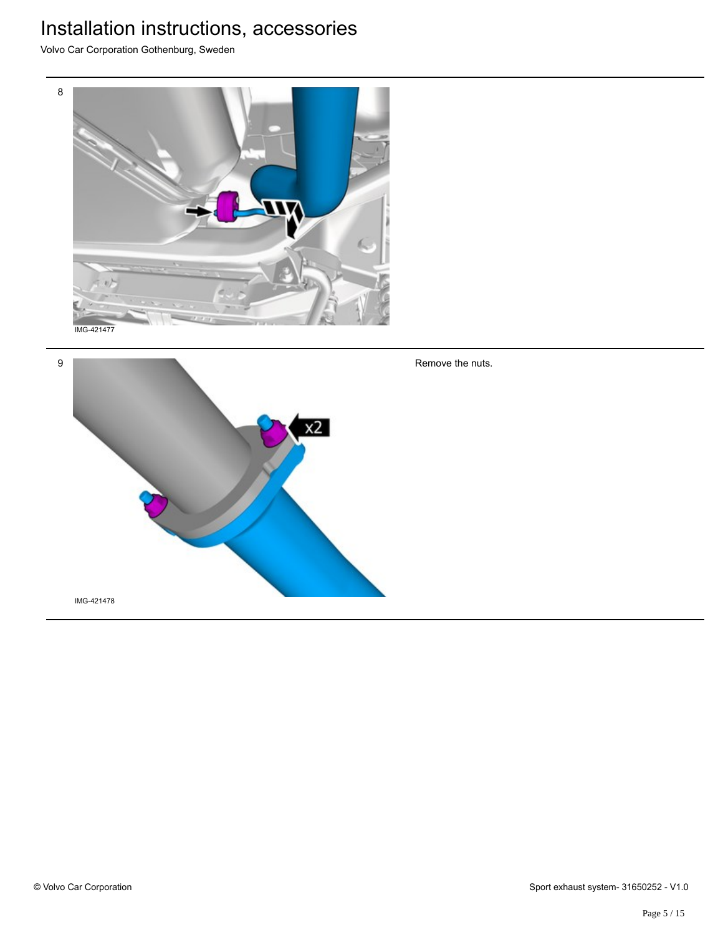Volvo Car Corporation Gothenburg, Sweden





Remove the nuts.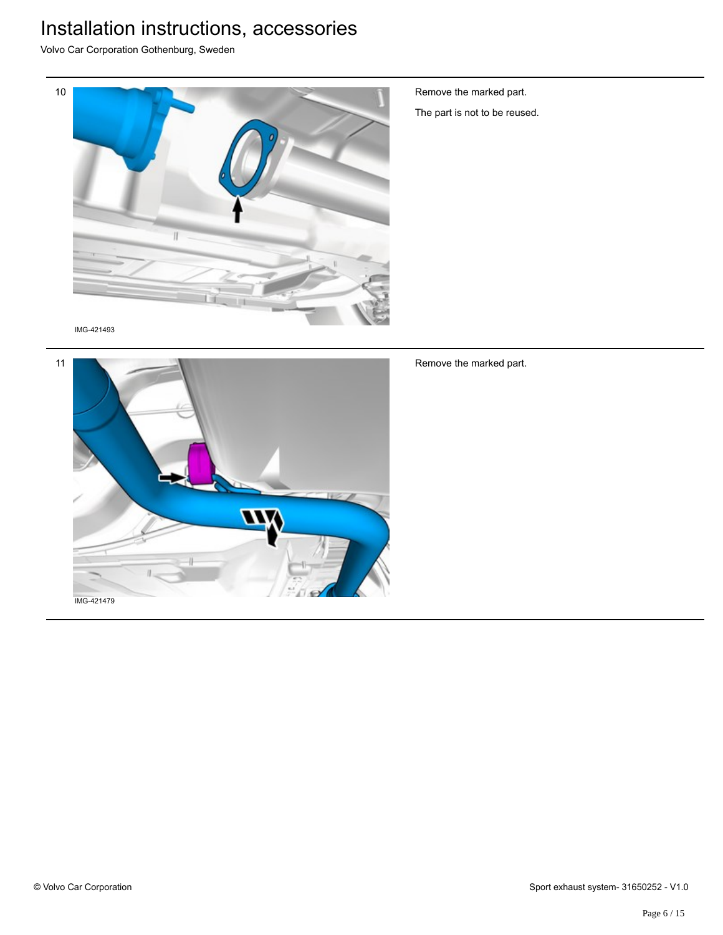Volvo Car Corporation Gothenburg, Sweden



Remove the marked part.

The part is not to be reused.

IMG-421493



Remove the marked part.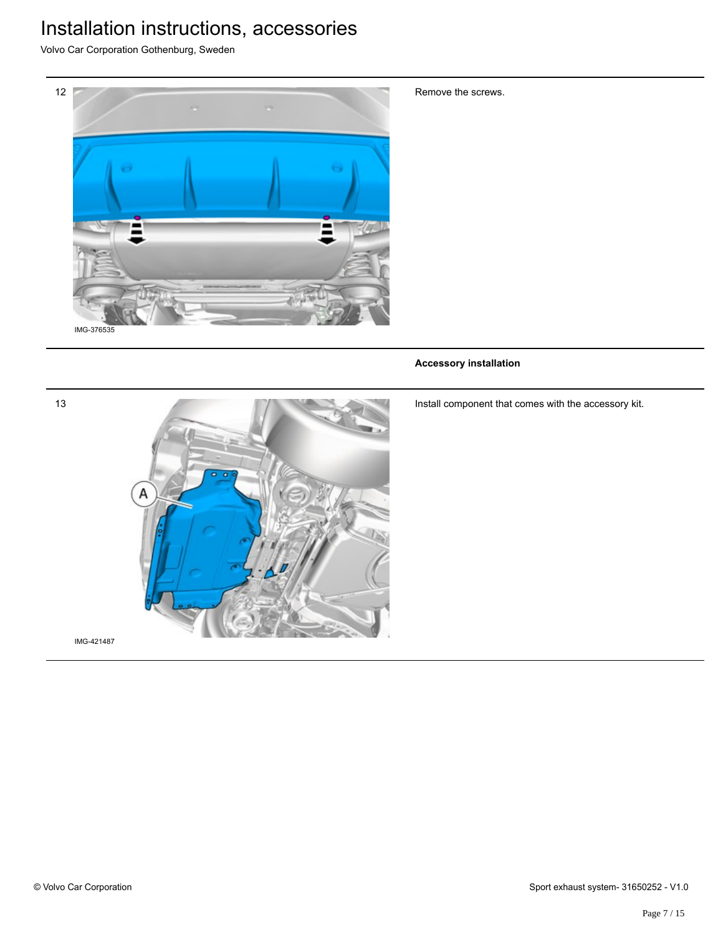Volvo Car Corporation Gothenburg, Sweden



Remove the screws.

#### **Accessory installation**



Install component that comes with the accessory kit.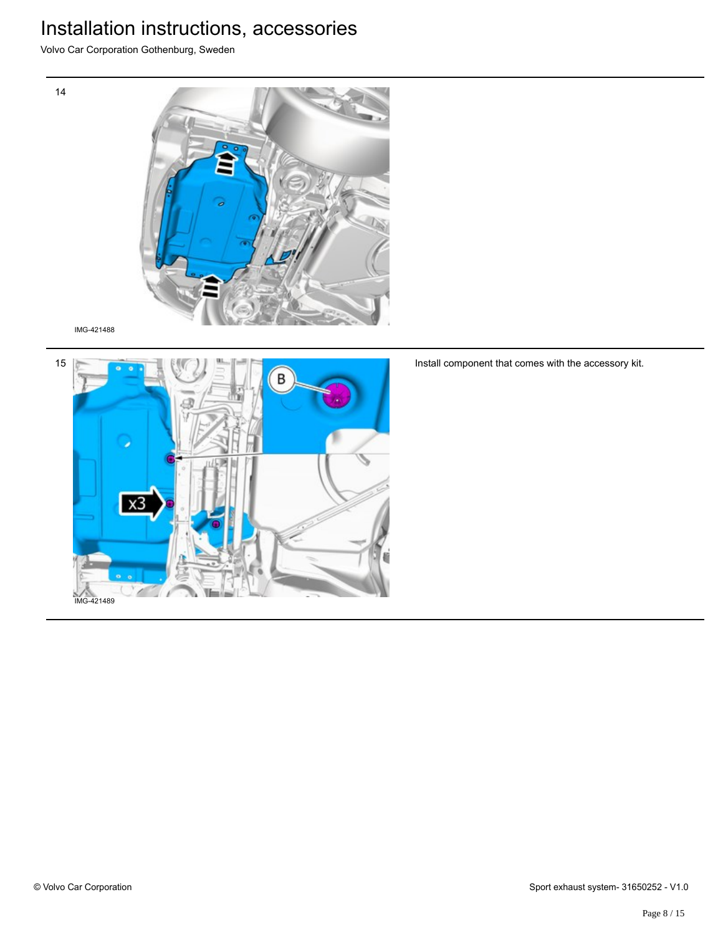Volvo Car Corporation Gothenburg, Sweden



IMG-421488

14



Install component that comes with the accessory kit.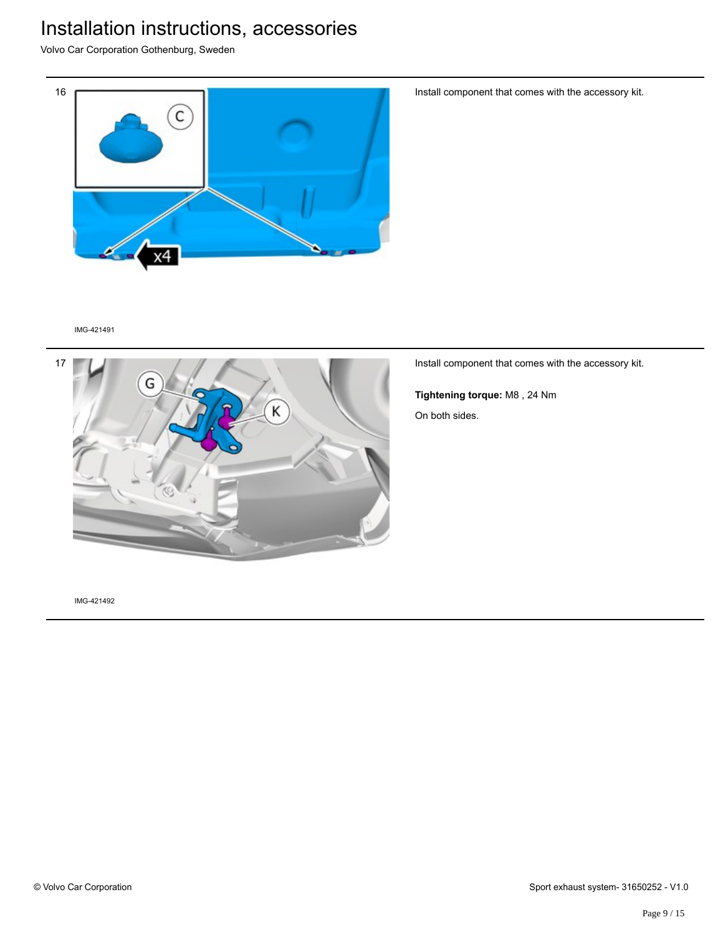Volvo Car Corporation Gothenburg, Sweden



Install component that comes with the accessory kit.

IMG-421491



Install component that comes with the accessory kit.

**Tightening torque:** M8 , 24 Nm On both sides.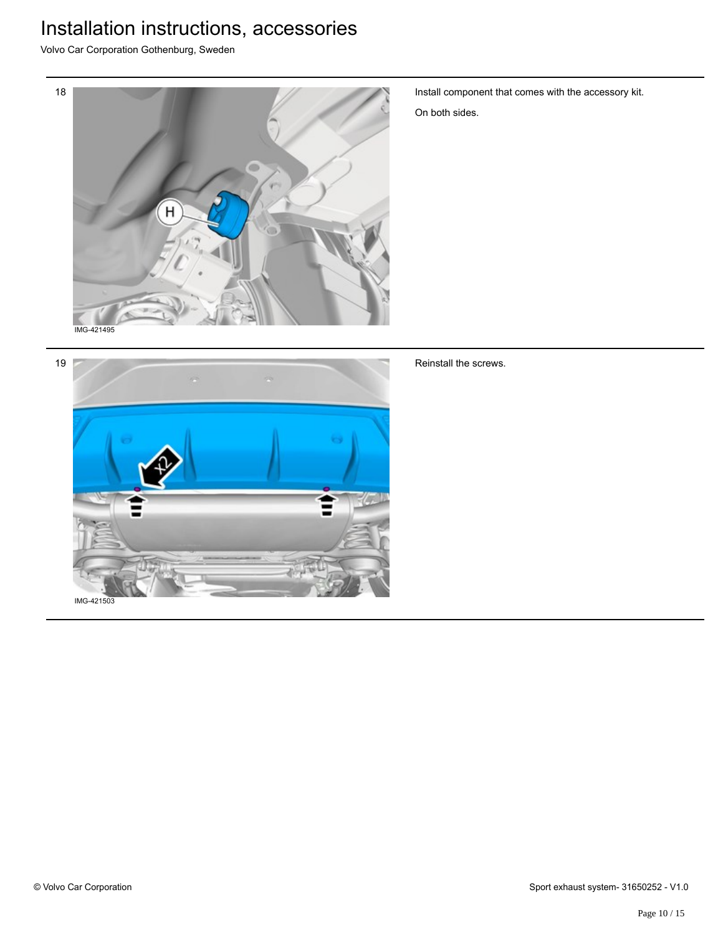Volvo Car Corporation Gothenburg, Sweden



Install component that comes with the accessory kit.

On both sides.



#### Reinstall the screws.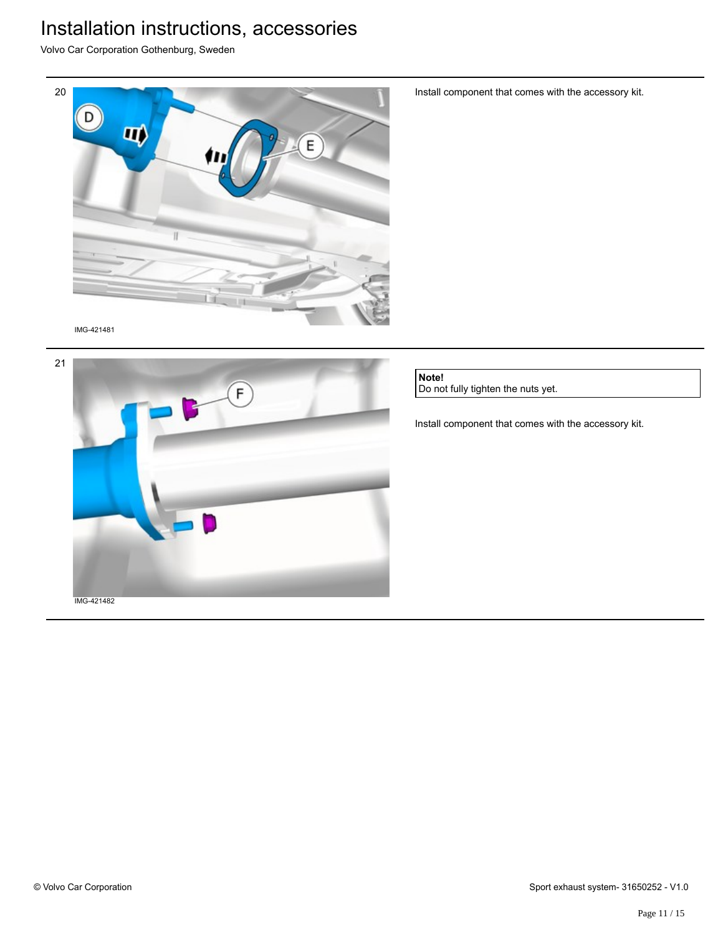Volvo Car Corporation Gothenburg, Sweden



IMG-421481



Install component that comes with the accessory kit.

**Note!** Do not fully tighten the nuts yet.

Install component that comes with the accessory kit.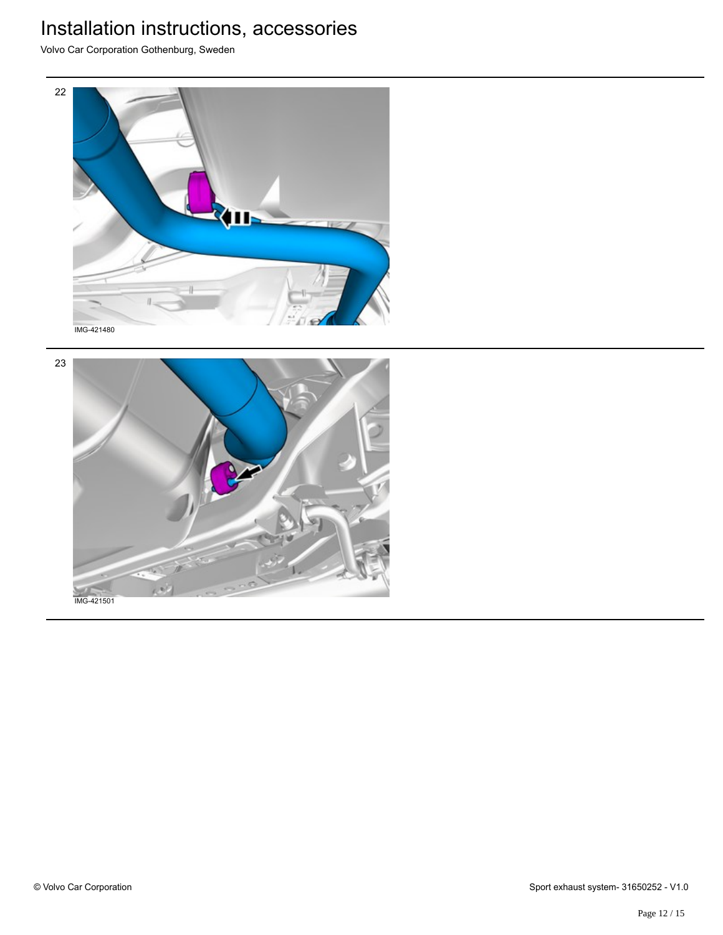Volvo Car Corporation Gothenburg, Sweden



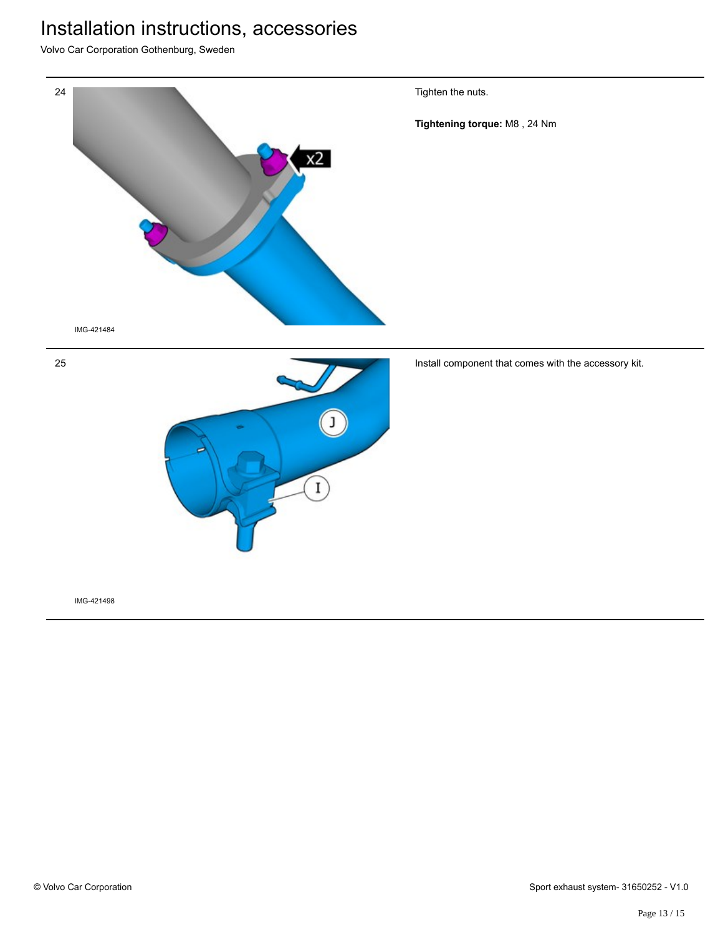Volvo Car Corporation Gothenburg, Sweden

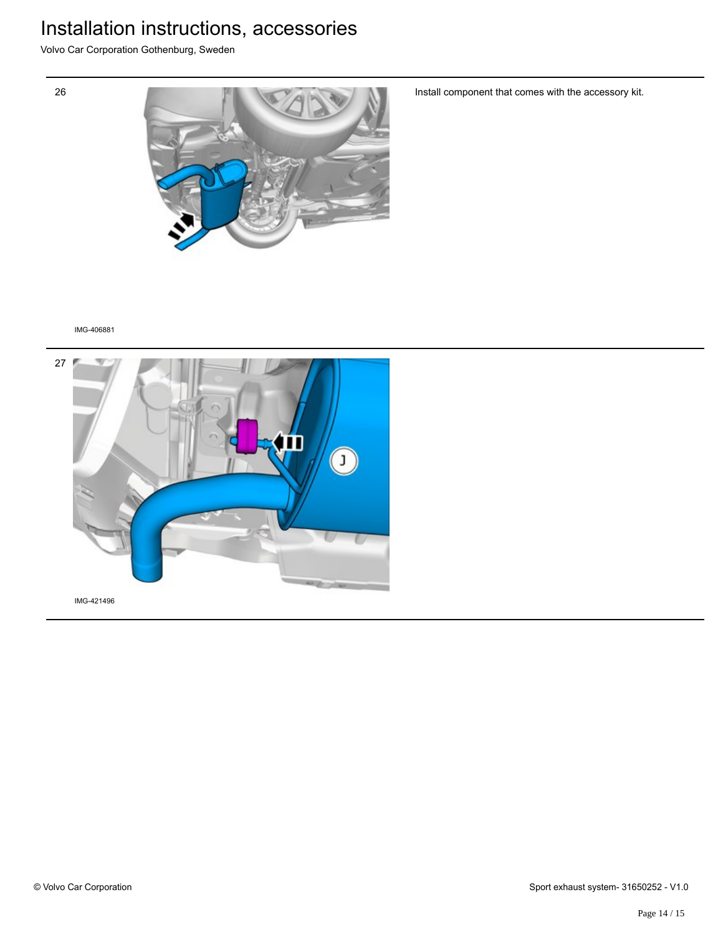Volvo Car Corporation Gothenburg, Sweden





Install component that comes with the accessory kit.

IMG-406881